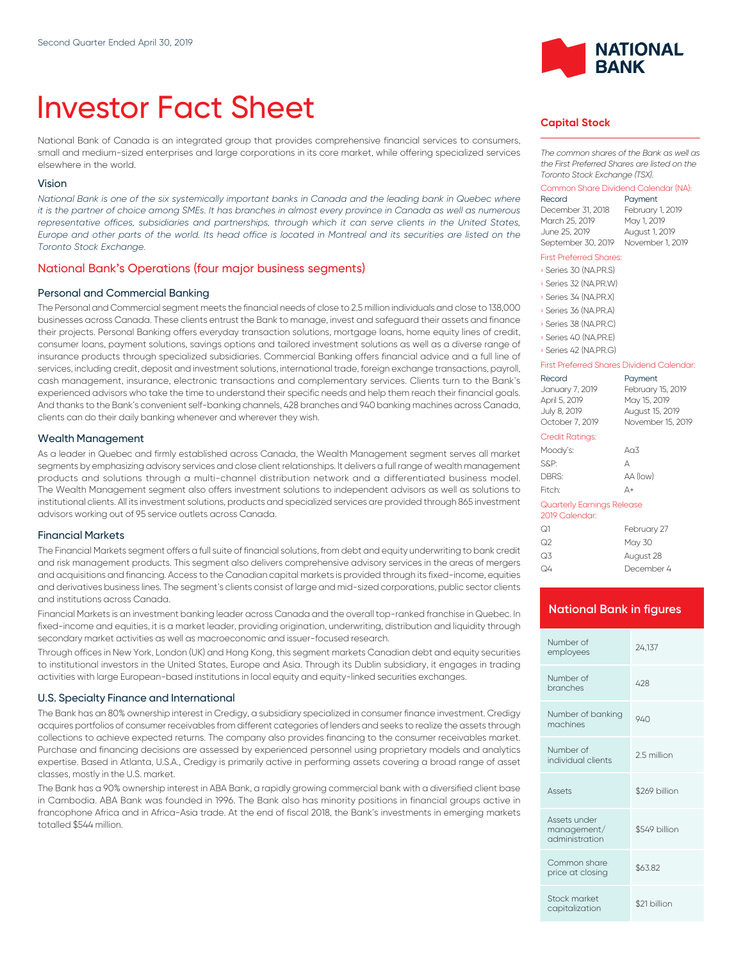# Investor Fact Sheet

National Bank of Canada is an integrated group that provides comprehensive financial services to consumers, small and medium-sized enterprises and large corporations in its core market, while offering specialized services elsewhere in the world.

### Vision

*National Bank is one of the six systemically important banks in Canada and the leading bank in Quebec where it is the partner of choice among SMEs. It has branches in almost every province in Canada as well as numerous* representative offices, subsidiaries and partnerships, through which it can serve clients in the United States, *Europe and other parts of the world. Its head office is located in Montreal and its securities are listed on the Toronto Stock Exchange.*

## National Bank's Operations (four major business segments)

## Personal and Commercial Banking

The Personal and Commercial segment meets the financial needs of close to 2.5 million individuals and close to 138,000 businesses across Canada. These clients entrust the Bank to manage, invest and safeguard their assets and finance their projects. Personal Banking offers everyday transaction solutions, mortgage loans, home equity lines of credit, consumer loans, payment solutions, savings options and tailored investment solutions as well as a diverse range of insurance products through specialized subsidiaries. Commercial Banking offers financial advice and a full line of services, including credit, deposit and investment solutions, international trade, foreign exchange transactions, payroll, cash management, insurance, electronic transactions and complementary services. Clients turn to the Bank's experienced advisors who take the time to understand their specific needs and help them reach their financial goals. And thanks to the Bank's convenient self-banking channels, 428 branches and 940 banking machines across Canada, clients can do their daily banking whenever and wherever they wish.

#### Wealth Management

As a leader in Quebec and firmly established across Canada, the Wealth Management segment serves all market segments by emphasizing advisory services and close client relationships. lt delivers a full range of wealth management products and solutions through a multi-channel distribution network and a differentiated business model. The Wealth Management segment also offers investment solutions to independent advisors as well as solutions to institutional clients. All its investment solutions, products and specialized services are provided through 865 investment advisors working out of 95 service outlets across Canada.

#### Financial Markets

The Financial Markets segment offers a full suite of financial solutions, from debt and equity underwriting to bank credit and risk management products. This segment also delivers comprehensive advisory services in the areas of mergers and acquisitions and financing. Access to the Canadian capital markets is provided through its fixed-income, equities and derivatives business lines. The segment's clients consist of large and mid-sized corporations, public sector clients and institutions across Canada.

Financial Markets is an investment banking leader across Canada and the overall top-ranked franchise in Quebec. In fixed-income and equities, it is a market leader, providing origination, underwriting, distribution and liquidity through secondary market activities as well as macroeconomic and issuer-focused research.

Through offices in New York, London (UK) and Hong Kong, this segment markets Canadian debt and equity securities to institutional investors in the United States, Europe and Asia. Through its Dublin subsidiary, it engages in trading activities with large European-based institutions in local equity and equity-linked securities exchanges.

#### U.S. Specialty Finance and International

The Bank has an 80% ownership interest in Credigy, a subsidiary specialized in consumer finance investment. Credigy acquires portfolios of consumer receivables from different categories of lenders and seeks to realize the assets through collections to achieve expected returns. The company also provides financing to the consumer receivables market. Purchase and financing decisions are assessed by experienced personnel using proprietary models and analytics expertise. Based in Atlanta, U.S.A., Credigy is primarily active in performing assets covering a broad range of asset classes, mostly in the U.S. market.

The Bank has a 90% ownership interest in ABA Bank, a rapidly growing commercial bank with a diversified client base in Cambodia. ABA Bank was founded in 1996. The Bank also has minority positions in financial groups active in francophone Africa and in Africa-Asia trade. At the end of fiscal 2018, the Bank's investments in emerging markets totalled \$544 million.



## **Capital Stock**

*The common shares of the Bank as well as the First Preferred Shares are listed on the Toronto Stock Exchange (TSX).*

#### Common Share Dividend Calendar (NA):

| Record             | Payment          |
|--------------------|------------------|
| December 31, 2018  | February 1, 2019 |
| March 25, 2019     | May 1, 2019      |
| June 25, 2019      | August 1, 2019   |
| September 30, 2019 | November 1, 2019 |

#### First Preferred Shares:

| Series 30 (NA.PR.S) |
|---------------------|
| Series 32 (NA.PR.W) |
| Series 34 (NA.PR.X) |
| Series 36 (NA.PR.A) |
| Series 38 (NA.PR.C) |
| Series 40 (NA.PR.E) |
| Series 42 (NA PRG)  |

#### First Preferred Shares Dividend Calendar:

| Record<br>January 7, 2019<br>April 5, 2019<br>July 8, 2019<br>October 7, 2019 | Payment<br>February 15, 2019<br>May 15, 2019<br>August 15, 2019<br>November 15, 2019 |
|-------------------------------------------------------------------------------|--------------------------------------------------------------------------------------|
| Credit Ratings:                                                               |                                                                                      |
| Moody's:                                                                      | A <sub>0</sub> 3                                                                     |
| S&P:                                                                          | А                                                                                    |
| DBRS:                                                                         | AA (low)                                                                             |
| Fitch:                                                                        | Д+                                                                                   |
| Quarterly Earnings Release<br>2019 Calendar:                                  |                                                                                      |
| $\sim$                                                                        | $-1$ . The set of $\sim$                                                             |

| ೧1 | February 27 |
|----|-------------|
| Q2 | May 30      |
| Q3 | August 28   |
| Q4 | December 4  |

## **National Bank in figures**

| Number of<br>employees                        | 24,137        |
|-----------------------------------------------|---------------|
| Number of<br>branches                         | 428           |
| Number of banking<br>machines                 | 940           |
| Number of<br>individual clients               | 2.5 million   |
| Assets                                        | \$269 billion |
| Assets under<br>management/<br>administration | \$549 billion |
| Common share<br>price at closing              | \$63.82       |
| Stock market<br>capitalization                | \$21 billion  |